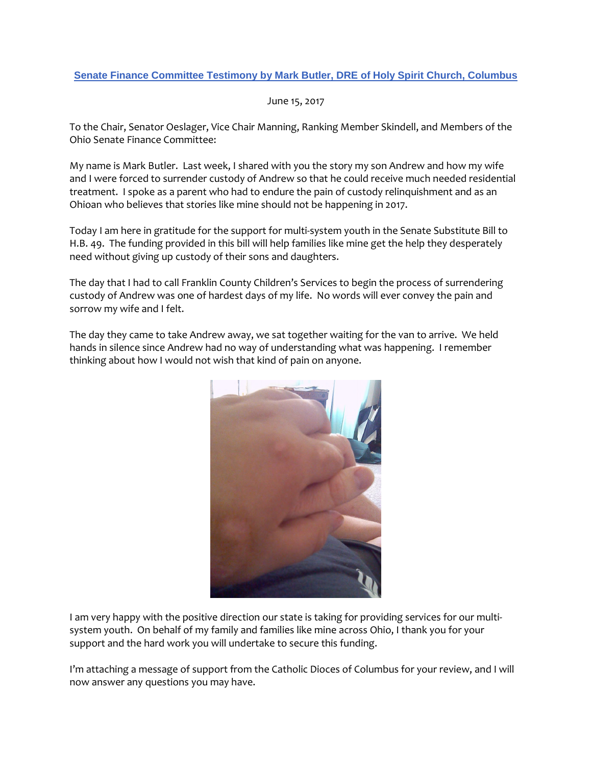# **Senate Finance Committee Testimony by Mark Butler, DRE of Holy Spirit Church, Columbus**

June 15, 2017

To the Chair, Senator Oeslager, Vice Chair Manning, Ranking Member Skindell, and Members of the Ohio Senate Finance Committee:

My name is Mark Butler. Last week, I shared with you the story my son Andrew and how my wife and I were forced to surrender custody of Andrew so that he could receive much needed residential treatment. I spoke as a parent who had to endure the pain of custody relinquishment and as an Ohioan who believes that stories like mine should not be happening in 2017.

Today I am here in gratitude for the support for multi-system youth in the Senate Substitute Bill to H.B. 49. The funding provided in this bill will help families like mine get the help they desperately need without giving up custody of their sons and daughters.

The day that I had to call Franklin County Children's Services to begin the process of surrendering custody of Andrew was one of hardest days of my life. No words will ever convey the pain and sorrow my wife and I felt.

The day they came to take Andrew away, we sat together waiting for the van to arrive. We held hands in silence since Andrew had no way of understanding what was happening. I remember thinking about how I would not wish that kind of pain on anyone.



I am very happy with the positive direction our state is taking for providing services for our multisystem youth. On behalf of my family and families like mine across Ohio, I thank you for your support and the hard work you will undertake to secure this funding.

I'm attaching a message of support from the Catholic Dioces of Columbus for your review, and I will now answer any questions you may have.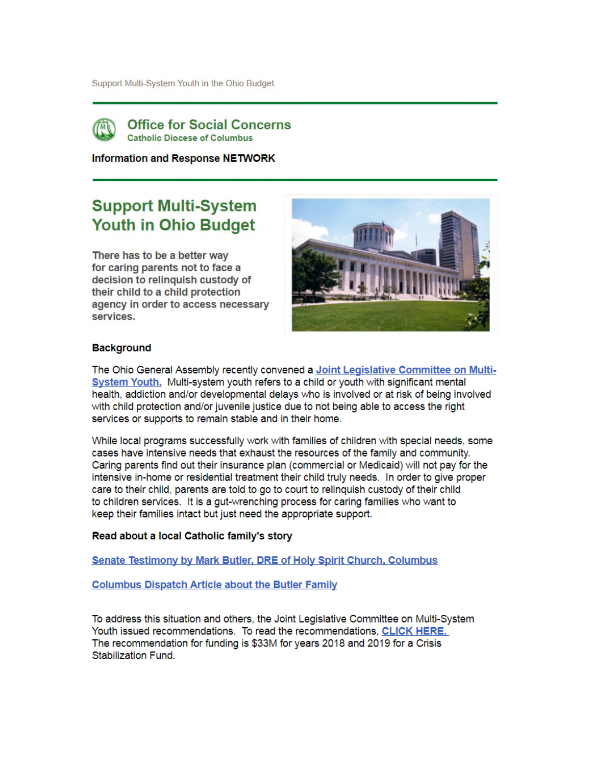Support Multi-System Youth in the Ohio Budget.



**Office for Social Concerns Catholic Diocese of Columbus** 

**Information and Response NETWORK** 

# **Support Multi-System Youth in Ohio Budget**

There has to be a better way for caring parents not to face a decision to relinquish custody of their child to a child protection agency in order to access necessary services.



# **Background**

The Ohio General Assembly recently convened a Joint Legislative Committee on Multi-System Youth. Multi-system youth refers to a child or youth with significant mental health, addiction and/or developmental delays who is involved or at risk of being involved with child protection and/or juvenile justice due to not being able to access the right services or supports to remain stable and in their home.

While local programs successfully work with families of children with special needs, some cases have intensive needs that exhaust the resources of the family and community. Caring parents find out their insurance plan (commercial or Medicaid) will not pay for the intensive in-home or residential treatment their child truly needs. In order to give proper care to their child, parents are told to go to court to relinquish custody of their child to children services. It is a gut-wrenching process for caring families who want to keep their families intact but just need the appropriate support.

## Read about a local Catholic family's story

**Senate Testimony by Mark Butler, DRE of Holy Spirit Church, Columbus** 

**Columbus Dispatch Article about the Butler Family** 

To address this situation and others, the Joint Legislative Committee on Multi-System Youth issued recommendations. To read the recommendations, CLICK HERE. The recommendation for funding is \$33M for years 2018 and 2019 for a Crisis Stabilization Fund.